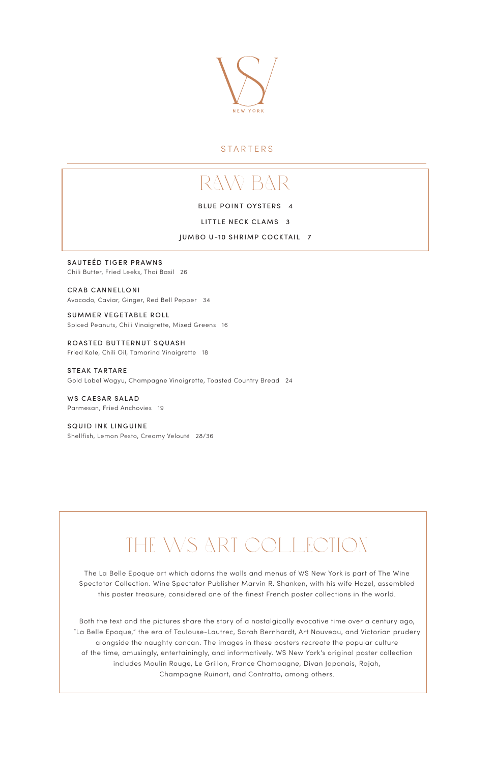

### **STARTERS**

SAUTEÉD TIGER PRAWNS Chili Butter, Fried Leeks, Thai Basil 26

CRAB CANNELLONI Avocado, Caviar, Ginger, Red Bell Pepper 34

SUMMER VEGETABLE ROLL Spiced Peanuts, Chili Vinaigrette, Mixed Greens 16

ROASTED BUTTERNUT SQUASH Fried Kale, Chili Oil, Tamarind Vinaigrette 18

STEAK TARTARE Gold Label Wagyu, Champagne Vinaigrette, Toasted Country Bread 24

WS CAESAR SALAD Parmesan, Fried Anchovies 19

SQUID INK LINGUINE Shellfish, Lemon Pesto, Creamy Velouté 28/36

# THE WS ART COLLECTION

The La Belle Epoque art which adorns the walls and menus of WS New York is part of The Wine Spectator Collection. Wine Spectator Publisher Marvin R. Shanken, with his wife Hazel, assembled this poster treasure, considered one of the finest French poster collections in the world.

Both the text and the pictures share the story of a nostalgically evocative time over a century ago, "La Belle Epoque," the era of Toulouse-Lautrec, Sarah Bernhardt, Art Nouveau, and Victorian prudery alongside the naughty cancan. The images in these posters recreate the popular culture of the time, amusingly, entertainingly, and informatively. WS New York's original poster collection includes Moulin Rouge, Le Grillon, France Champagne, Divan Japonais, Rajah, Champagne Ruinart, and Contratto, among others.

# raw bar

BLUE POINT OYSTERS 4

LITTLE NECK CLAMS 3

JUMBO U-10 SHRIMP COCKTAIL 7